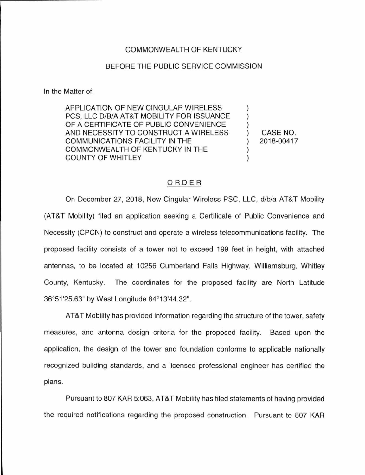## COMMONWEALTH OF KENTUCKY

## BEFORE THE PUBLIC SERVICE COMMISSION

In the Matter of:

APPLICATION OF NEW CINGULAR WIRELESS PCS, LLC D/B/A AT&T MOBILITY FOR ISSUANCE OF A CERTIFICATE OF PUBLIC CONVENIENCE AND NECESSITY TO CONSTRUCT A WIRELESS COMMUNICATIONS FACILITY IN THE COMMONWEALTH OF KENTUCKY IN THE COUNTY OF WHITLEY

CASE NO. 2018-00417

## ORDER

On December 27, 2018, New Cingular Wireless PSC, LLC, d/b/a AT&T Mobility (AT&T Mobility) filed an application seeking a Certificate of Public Convenience and Necessity (CPCN) to construct and operate a wireless telecommunications facility. The proposed facility consists of a tower not to exceed 199 feet in height, with attached antennas, to be located at 10256 Cumberland Falls Highway, Williamsburg, Whitley County, Kentucky. The coordinates for the proposed facility are North Latitude 36°51 '25.63" by West Longitude 84°13'44.32".

AT&T Mobility has provided information regarding the structure of the tower, safety measures, and antenna design criteria for the proposed facility. Based upon the application, the design of the tower and foundation conforms to applicable nationally recognized building standards, and a licensed professional engineer has certified the plans.

Pursuant to 807 KAR 5:063, AT&T Mobility has filed statements of having provided the required notifications regarding the proposed construction. Pursuant to 807 KAR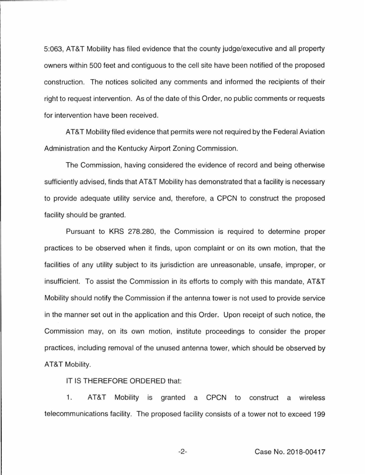5:063, AT&T Mobility has filed evidence that the county judge/executive and all property owners within 500 feet and contiguous to the cell site have been notified of the proposed construction. The notices solicited any comments and informed the recipients of their right to request intervention. As of the date of this Order, no public comments or requests for intervention have been received.

AT&T Mobility filed evidence that permits were not required by the Federal Aviation Administration and the Kentucky Airport Zoning Commission.

The Commission, having considered the evidence of record and being otherwise sufficiently advised, finds that AT&T Mobility has demonstrated that a facility is necessary to provide adequate utility service and, therefore, a CPCN to construct the proposed facility should be granted.

Pursuant to KRS 278.280, the Commission is required to determine proper practices to be observed when it finds, upon complaint or on its own motion, that the facilities of any utility subject to its jurisdiction are unreasonable, unsafe, improper, or insufficient. To assist the Commission in its efforts to comply with this mandate, AT&T Mobility should notify the Commission if the antenna tower is not used to provide service in the manner set out in the application and this Order. Upon receipt of such notice, the Commission may, on its own motion, institute proceedings to consider the proper practices, including removal of the unused antenna tower, which should be observed by AT&T Mobility.

IT IS THEREFORE ORDERED that:

1. AT&T Mobility is granted a CPCN to construct a wireless telecommunications facility. The proposed facility consists of a tower not to exceed 199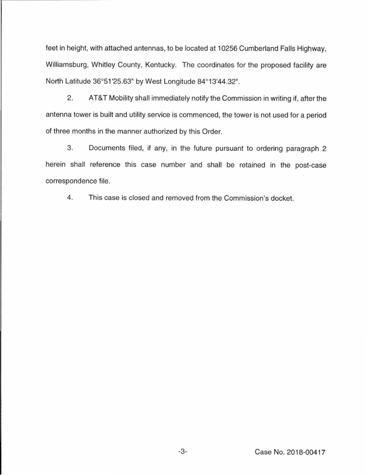feet in height, with attached antennas, to be located at 10256 Cumberland Falls Highway, Williamsburg, Whitley County, Kentucky. The coordinates for the proposed facility are North Latitude 36°51 '25.63" by West Longitude 84°13'44.32".

2. AT&T Mobility shall immediately notify the Commission in writing if, after the antenna tower is built and utility service is commenced, the tower is not used for a period of three months in the manner authorized by this Order.

3. Documents filed, if any, in the future pursuant to ordering paragraph 2 herein shall reference this case number and shall be retained in the post-case correspondence file.

4. This case is closed and removed from the Commission's docket.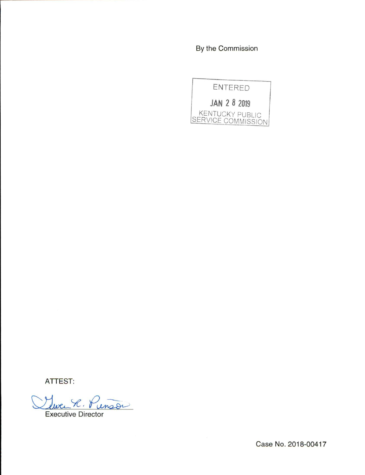By the Commission



ATTEST:

 $X. y$  $map="$ 

Executive Director

Case No. 2018-00417